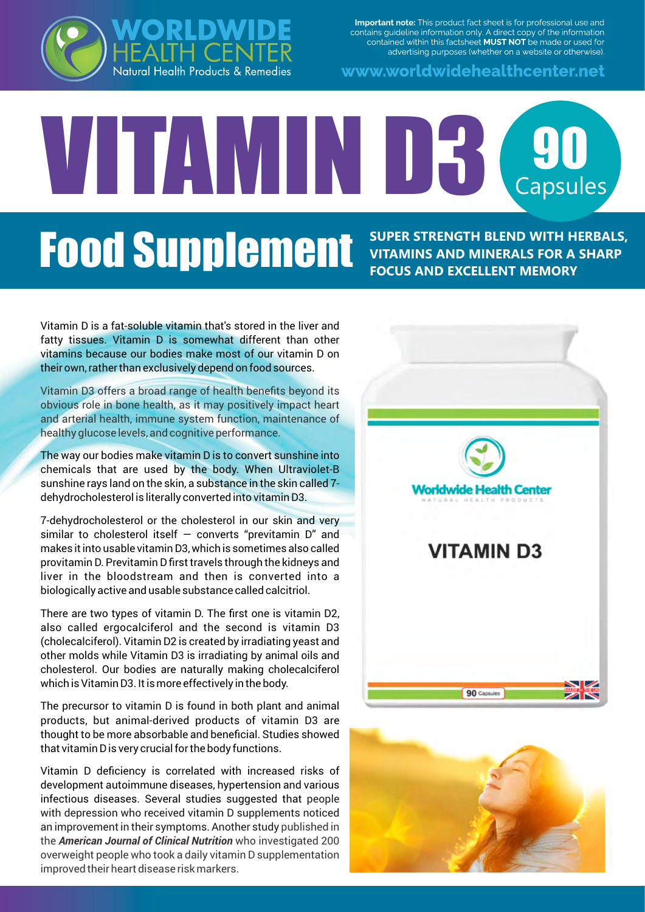

www.worldwidehealthcenter.net



# VITAMIN D3 90 **Food Supplement SUPER STRENGTH BLEND WITH HERBALS,**

**VITAMINS AND MINERALS FOR A SHARP FOCUS AND EXCELLENT MEMORY**

Vitamin D is a fat-soluble vitamin that's stored in the liver and fatty tissues. Vitamin D is somewhat different than other vitamins because our bodies make most of our vitamin D on their own, rather than exclusively depend on food sources.

Vitamin D3 offers a broad range of health benefits beyond its obvious role in bone health, as it may positively impact heart and arterial health, immune system function, maintenance of healthy glucose levels, and cognitive performance.

The way our bodies make vitamin D is to convert sunshine into chemicals that are used by the body. When Ultraviolet-B sunshine rays land on the skin, a substance in the skin called 7 dehydrocholesterol is literally converted into vitamin D3.

7-dehydrocholesterol or the cholesterol in our skin and very similar to cholesterol itself  $-$  converts "previtamin  $D$ " and makes it into usable vitamin D3, which is sometimes also called provitamin D. Previtamin D first travels through the kidneys and liver in the bloodstream and then is converted into a biologically active and usable substance called calcitriol.

There are two types of vitamin D. The first one is vitamin D2, also called ergocalciferol and the second is vitamin D3 (cholecalciferol). Vitamin D2 is created by irradiating yeast and other molds while Vitamin D3 is irradiating by animal oils and cholesterol. Our bodies are naturally making cholecalciferol which is Vitamin D3. It is more effectively in the body.

The precursor to vitamin D is found in both plant and animal products, but animal-derived products of vitamin D3 are thought to be more absorbable and beneficial. Studies showed that vitamin D is very crucial for the body functions.

Vitamin D deficiency is correlated with increased risks of development autoimmune diseases, hypertension and various infectious diseases. Several studies suggested that people with depression who received vitamin D supplements noticed an improvement in their symptoms. Another study published in the *American Journal of Clinical Nutrition* who investigated 200 overweight people who took a daily vitamin D supplementation improved their heart disease risk markers.